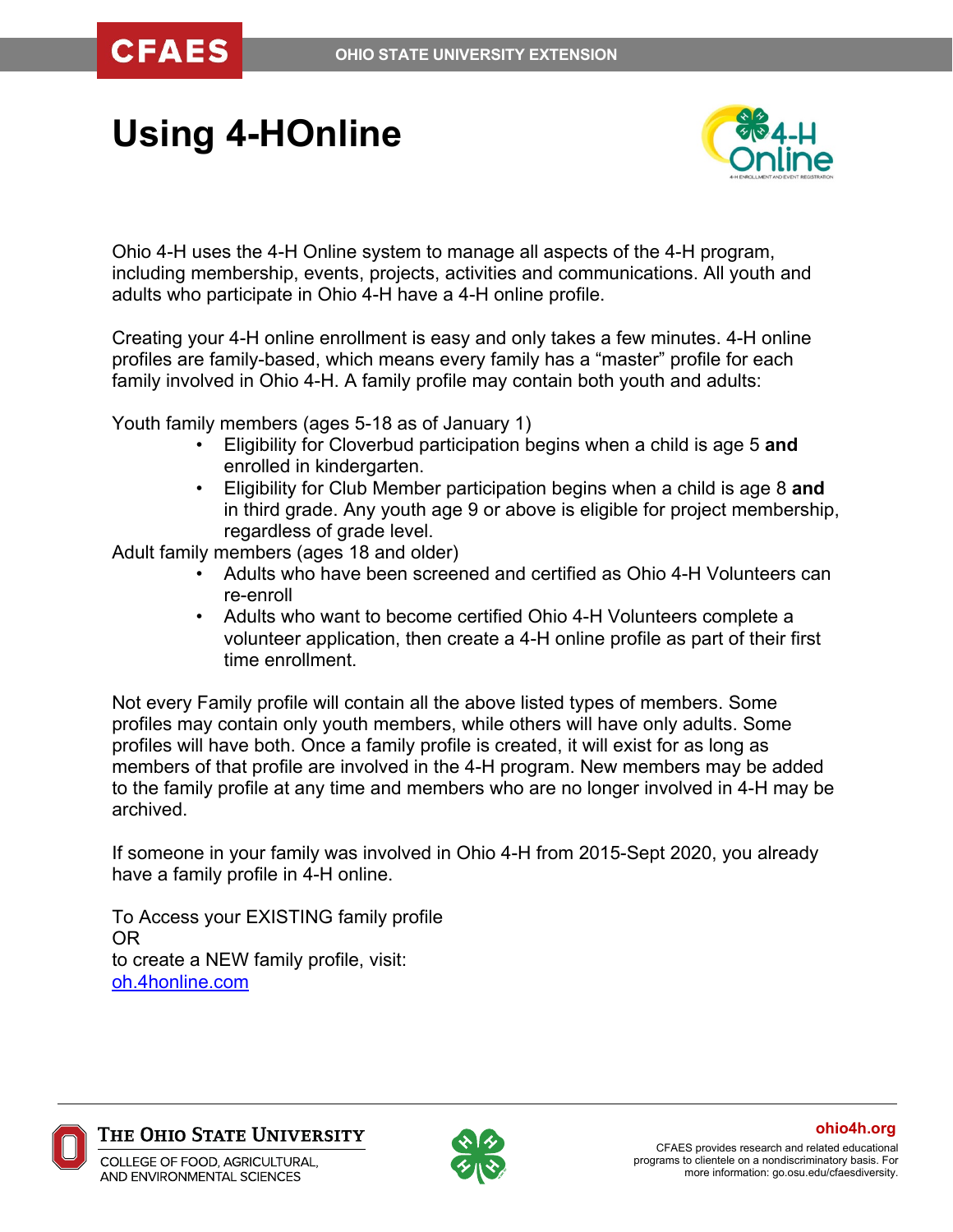**CFAES** 

# **Using 4-HOnline**



Ohio 4-H uses the 4-H Online system to manage all aspects of the 4-H program, including membership, events, projects, activities and communications. All youth and adults who participate in Ohio 4-H have a 4-H online profile.

Creating your 4-H online enrollment is easy and only takes a few minutes. 4-H online profiles are family-based, which means every family has a "master" profile for each family involved in Ohio 4-H. A family profile may contain both youth and adults:

Youth family members (ages 5-18 as of January 1)

- Eligibility for Cloverbud participation begins when a child is age 5 **and**  enrolled in kindergarten.
- Eligibility for Club Member participation begins when a child is age 8 **and** in third grade. Any youth age 9 or above is eligible for project membership, regardless of grade level.

Adult family members (ages 18 and older)

- Adults who have been screened and certified as Ohio 4-H Volunteers can re-enroll
- Adults who want to become certified Ohio 4-H Volunteers complete a volunteer application, then create a 4-H online profile as part of their first time enrollment.

Not every Family profile will contain all the above listed types of members. Some profiles may contain only youth members, while others will have only adults. Some profiles will have both. Once a family profile is created, it will exist for as long as members of that profile are involved in the 4-H program. New members may be added to the family profile at any time and members who are no longer involved in 4-H may be archived.

If someone in your family was involved in Ohio 4-H from 2015-Sept 2020, you already have a family profile in 4-H online.

To Access your EXISTING family profile OR to create a NEW family profile, visit: [oh.4honline.com](https://v2.4honline.com/#/user/sign-in)



The Ohio State University

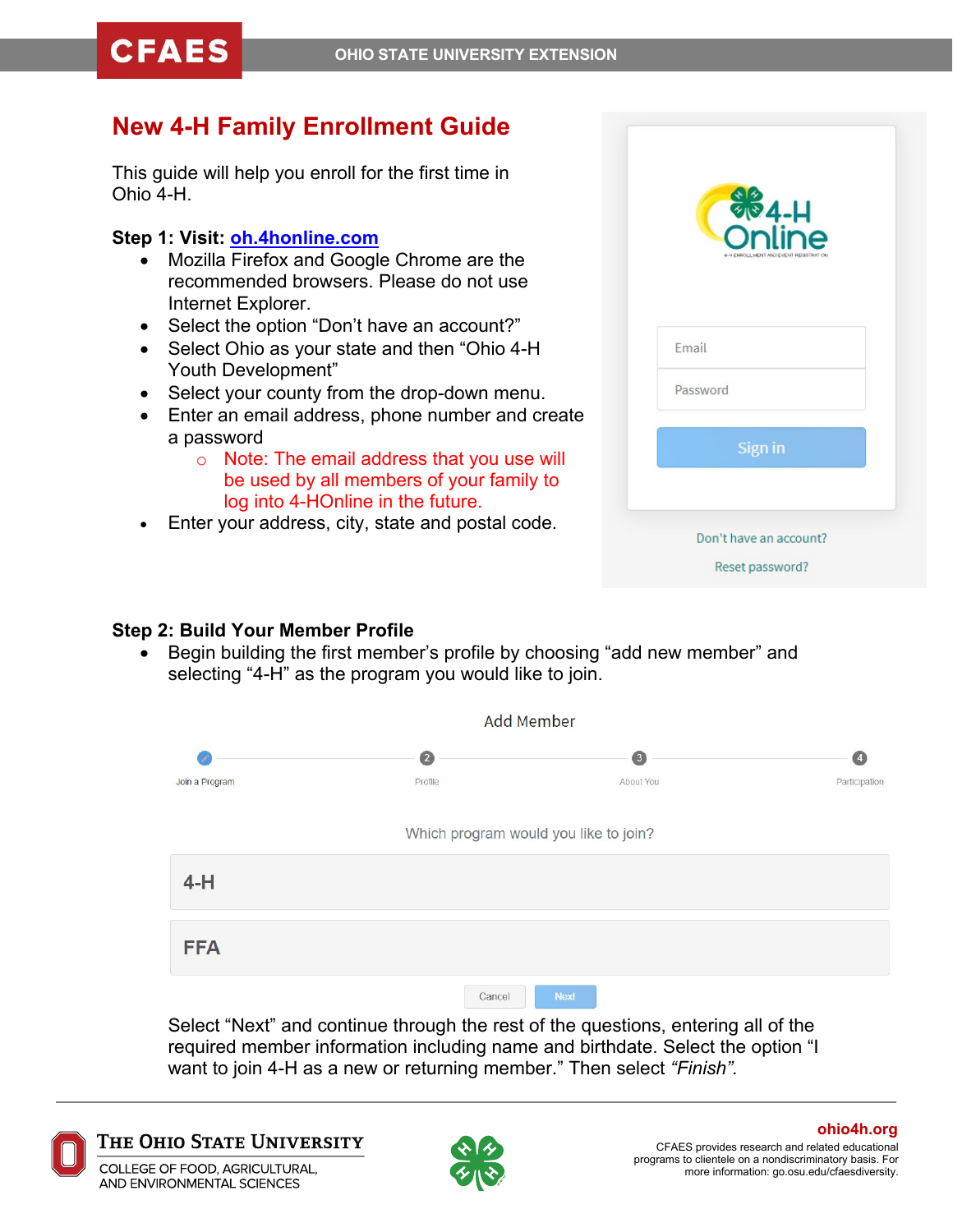# **New 4-H Family Enrollment Guide**

This guide will help you enroll for the first time in Ohio 4-H.

## **Step 1: Visit: [oh.4honline.com](https://v2.4honline.com/#/user/sign-in)**

- Mozilla Firefox and Google Chrome are the recommended browsers. Please do not use Internet Explorer.
- Select the option "Don't have an account?"
- Select Ohio as your state and then "Ohio 4-H Youth Development"
- Select your county from the drop-down menu.
- Enter an email address, phone number and create a password
	- o Note: The email address that you use will be used by all members of your family to log into 4-HOnline in the future.
- Enter your address, city, state and postal code.

|          | <b>OO</b> 4-H                          |
|----------|----------------------------------------|
|          | 4-H ENROLL MENT AND EVENT REGISTRATION |
|          |                                        |
| Email    |                                        |
| Password |                                        |
|          | Sign in                                |
|          |                                        |
|          | Don't have an account?                 |
|          |                                        |

# **Step 2: Build Your Member Profile**

• Begin building the first member's profile by choosing "add new member" and selecting "4-H" as the program you would like to join.

|                |           | <b>Add Member</b>                     |                    |
|----------------|-----------|---------------------------------------|--------------------|
| P              | $\bullet$ | $\sqrt{3}$                            | $\left( 4 \right)$ |
| Join a Program | Profile   | About You                             | Participation      |
|                |           | Which program would you like to join? |                    |
| $4-H$          |           |                                       |                    |
| <b>FFA</b>     |           |                                       |                    |
|                | Cancel    | <b>Next</b>                           |                    |

Select "Next" and continue through the rest of the questions, entering all of the required member information including name and birthdate. Select the option "I want to join 4-H as a new or returning member." Then select *"Finish".*



The Ohio State University



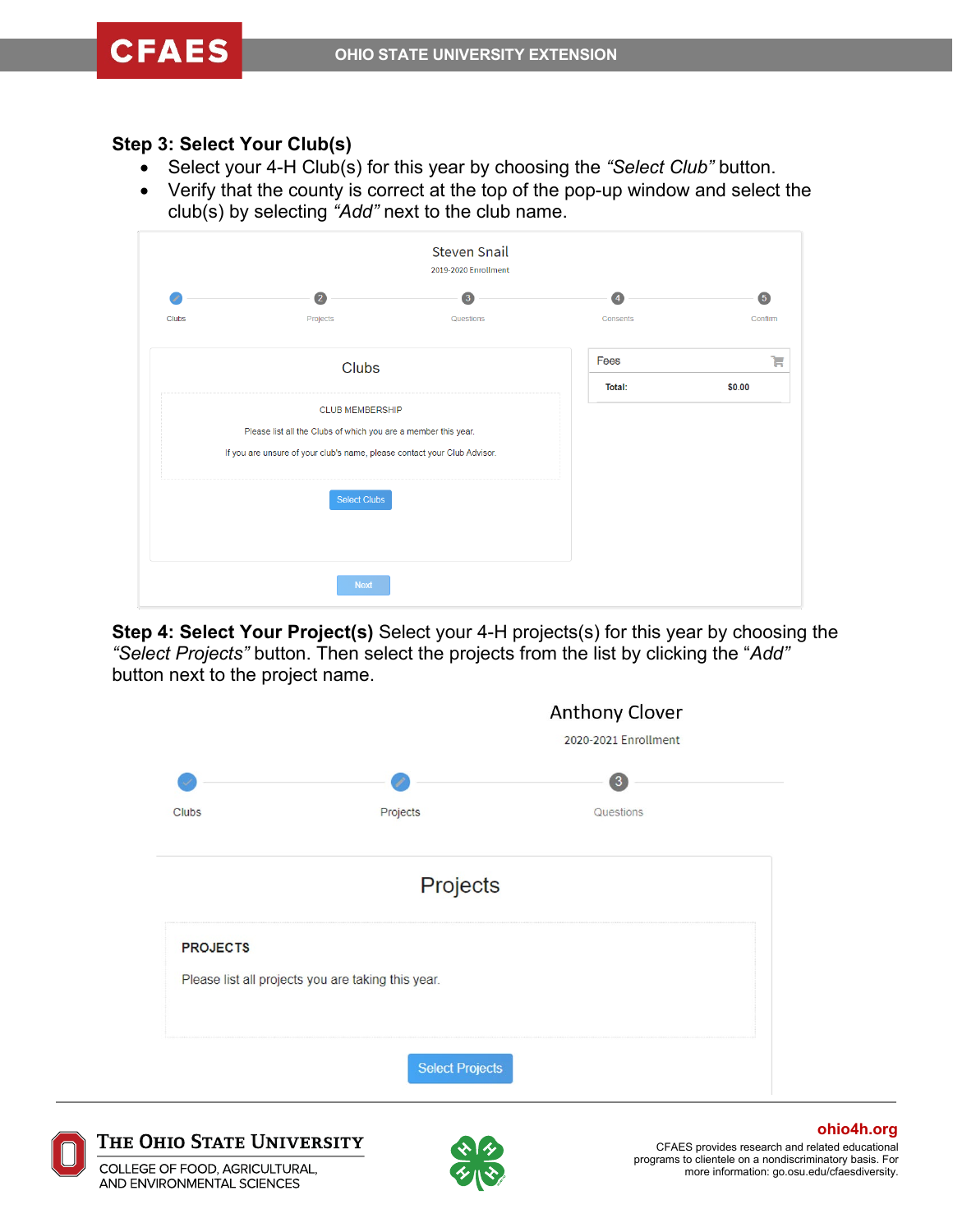#### **Step 3: Select Your Club(s)**

- Select your 4-H Club(s) for this year by choosing the *"Select Club"* button.
- Verify that the county is correct at the top of the pop-up window and select the club(s) by selecting *"Add"* next to the club name.

|              | $\overline{2}$                                                           | $\overline{\mathbf{3}}$ | $\overline{4}$ | $\overline{\mathbf{5}}$ |
|--------------|--------------------------------------------------------------------------|-------------------------|----------------|-------------------------|
| <b>Clubs</b> | Projects                                                                 | Questions               | Consents       | Confirm                 |
|              | <b>Clubs</b>                                                             |                         | Fees           | Ъ                       |
|              |                                                                          |                         | Total:         | \$0.00                  |
|              | <b>CLUB MEMBERSHIP</b>                                                   |                         |                |                         |
|              | Please list all the Clubs of which you are a member this year.           |                         |                |                         |
|              | If you are unsure of your club's name, please contact your Club Advisor. |                         |                |                         |
|              | <b>Select Clubs</b>                                                      |                         |                |                         |
|              |                                                                          |                         |                |                         |
|              |                                                                          |                         |                |                         |

**Step 4: Select Your Project(s)** Select your 4-H projects(s) for this year by choosing the *"Select Projects"* button. Then select the projects from the list by clicking the "*Add"* button next to the project name.





The Ohio State University

COLLEGE OF FOOD, AGRICULTURAL, AND ENVIRONMENTAL SCIENCES



CFAES provides research and related educational programs to clientele on a nondiscriminatory basis. For more information: go.osu.edu/cfaesdiversity. **ohio4h.org**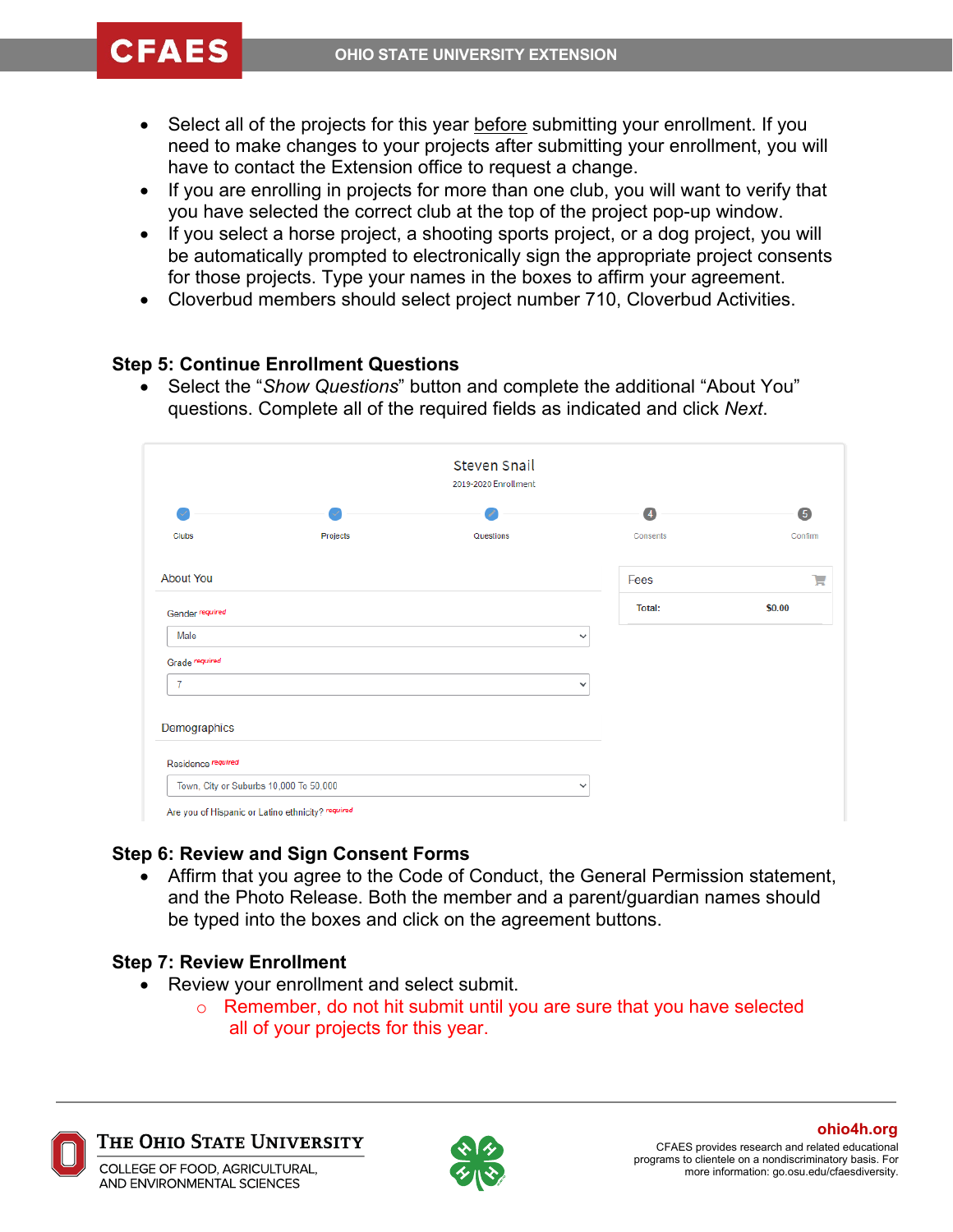# **CFAES**

- Select all of the projects for this year before submitting your enrollment. If you need to make changes to your projects after submitting your enrollment, you will have to contact the Extension office to request a change.
- If you are enrolling in projects for more than one club, you will want to verify that you have selected the correct club at the top of the project pop-up window.
- If you select a horse project, a shooting sports project, or a dog project, you will be automatically prompted to electronically sign the appropriate project consents for those projects. Type your names in the boxes to affirm your agreement.
- Cloverbud members should select project number 710, Cloverbud Activities.

### **Step 5: Continue Enrollment Questions**

• Select the "*Show Questions*" button and complete the additional "About You" questions. Complete all of the required fields as indicated and click *Next*.

| Steven Snail<br>2019-2020 Enrollment |                                        |           |                |         |
|--------------------------------------|----------------------------------------|-----------|----------------|---------|
|                                      |                                        |           | $\overline{4}$ | 5       |
| <b>Clubs</b>                         | Projects                               | Questions | Consents       | Confirm |
| <b>About You</b>                     |                                        |           | Fees           | ٦.,     |
| Gender required                      |                                        |           | <b>Total:</b>  | \$0.00  |
| Male                                 |                                        |           | $\checkmark$   |         |
| Grade required                       |                                        |           |                |         |
| $\overline{7}$                       |                                        |           | $\checkmark$   |         |
| Demographics                         |                                        |           |                |         |
| Residence required                   |                                        |           |                |         |
|                                      | Town, City or Suburbs 10,000 To 50,000 |           | $\checkmark$   |         |

### **Step 6: Review and Sign Consent Forms**

• Affirm that you agree to the Code of Conduct, the General Permission statement, and the Photo Release. Both the member and a parent/guardian names should be typed into the boxes and click on the agreement buttons.

### **Step 7: Review Enrollment**

- Review your enrollment and select submit.
	- o Remember, do not hit submit until you are sure that you have selected all of your projects for this year.



The Ohio State University

COLLEGE OF FOOD, AGRICULTURAL, AND ENVIRONMENTAL SCIENCES